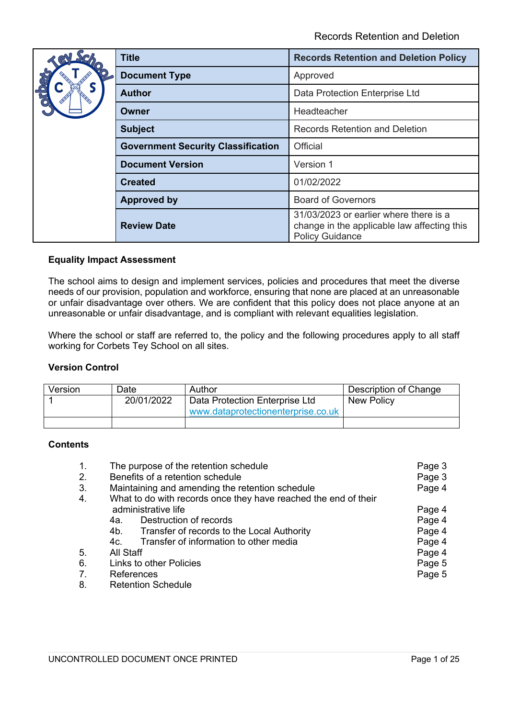| <b>Title</b>                              | <b>Records Retention and Deletion Policy</b>                                                                    |
|-------------------------------------------|-----------------------------------------------------------------------------------------------------------------|
| <b>Document Type</b>                      | Approved                                                                                                        |
| <b>Author</b>                             | Data Protection Enterprise Ltd                                                                                  |
| Owner                                     | Headteacher                                                                                                     |
| <b>Subject</b>                            | <b>Records Retention and Deletion</b>                                                                           |
| <b>Government Security Classification</b> | Official                                                                                                        |
| <b>Document Version</b>                   | Version 1                                                                                                       |
| <b>Created</b>                            | 01/02/2022                                                                                                      |
| <b>Approved by</b>                        | <b>Board of Governors</b>                                                                                       |
| <b>Review Date</b>                        | 31/03/2023 or earlier where there is a<br>change in the applicable law affecting this<br><b>Policy Guidance</b> |

## **Equality Impact Assessment**

The school aims to design and implement services, policies and procedures that meet the diverse needs of our provision, population and workforce, ensuring that none are placed at an unreasonable or unfair disadvantage over others. We are confident that this policy does not place anyone at an unreasonable or unfair disadvantage, and is compliant with relevant equalities legislation.

Where the school or staff are referred to, the policy and the following procedures apply to all staff working for Corbets Tey School on all sites.

## **Version Control**

| Version | Date       | Author                                                               | Description of Change |
|---------|------------|----------------------------------------------------------------------|-----------------------|
|         | 20/01/2022 | Data Protection Enterprise Ltd<br>www.dataprotectionenterprise.co.uk | <b>New Policy</b>     |
|         |            |                                                                      |                       |

## **Contents**

| $\mathbf{1}$ . | The purpose of the retention schedule                           | Page 3 |
|----------------|-----------------------------------------------------------------|--------|
| 2.             | Benefits of a retention schedule                                | Page 3 |
| 3.             | Maintaining and amending the retention schedule                 | Page 4 |
| 4.             | What to do with records once they have reached the end of their |        |
|                | administrative life                                             | Page 4 |
|                | Destruction of records<br>4а.                                   | Page 4 |
|                | Transfer of records to the Local Authority<br>4b.               | Page 4 |
|                | Transfer of information to other media<br>4c.                   | Page 4 |
| 5.             | All Staff                                                       | Page 4 |
| 6.             | Links to other Policies                                         | Page 5 |
| 7.             | References                                                      | Page 5 |
| 8.             | <b>Retention Schedule</b>                                       |        |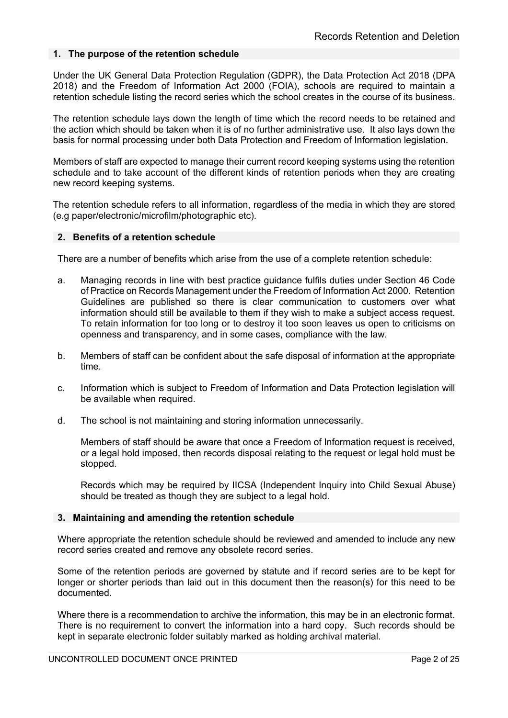## **1. The purpose of the retention schedule**

Under the UK General Data Protection Regulation (GDPR), the Data Protection Act 2018 (DPA 2018) and the Freedom of Information Act 2000 (FOIA), schools are required to maintain a retention schedule listing the record series which the school creates in the course of its business.

The retention schedule lays down the length of time which the record needs to be retained and the action which should be taken when it is of no further administrative use. It also lays down the basis for normal processing under both Data Protection and Freedom of Information legislation.

Members of staff are expected to manage their current record keeping systems using the retention schedule and to take account of the different kinds of retention periods when they are creating new record keeping systems.

The retention schedule refers to all information, regardless of the media in which they are stored (e.g paper/electronic/microfilm/photographic etc).

#### **2. Benefits of a retention schedule**

There are a number of benefits which arise from the use of a complete retention schedule:

- a. Managing records in line with best practice guidance fulfils duties under Section 46 Code of Practice on Records Management under the Freedom of Information Act 2000. Retention Guidelines are published so there is clear communication to customers over what information should still be available to them if they wish to make a subject access request. To retain information for too long or to destroy it too soon leaves us open to criticisms on openness and transparency, and in some cases, compliance with the law.
- b. Members of staff can be confident about the safe disposal of information at the appropriate time.
- c. Information which is subject to Freedom of Information and Data Protection legislation will be available when required.
- d. The school is not maintaining and storing information unnecessarily.

Members of staff should be aware that once a Freedom of Information request is received, or a legal hold imposed, then records disposal relating to the request or legal hold must be stopped.

Records which may be required by IICSA (Independent Inquiry into Child Sexual Abuse) should be treated as though they are subject to a legal hold.

#### **3. Maintaining and amending the retention schedule**

Where appropriate the retention schedule should be reviewed and amended to include any new record series created and remove any obsolete record series.

Some of the retention periods are governed by statute and if record series are to be kept for longer or shorter periods than laid out in this document then the reason(s) for this need to be documented.

Where there is a recommendation to archive the information, this may be in an electronic format. There is no requirement to convert the information into a hard copy. Such records should be kept in separate electronic folder suitably marked as holding archival material.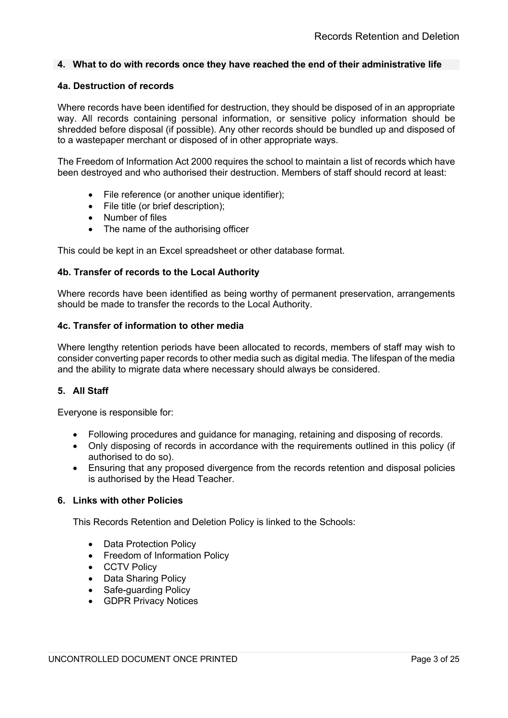## **4. What to do with records once they have reached the end of their administrative life**

#### **4a. Destruction of records**

Where records have been identified for destruction, they should be disposed of in an appropriate way. All records containing personal information, or sensitive policy information should be shredded before disposal (if possible). Any other records should be bundled up and disposed of to a wastepaper merchant or disposed of in other appropriate ways.

The Freedom of Information Act 2000 requires the school to maintain a list of records which have been destroyed and who authorised their destruction. Members of staff should record at least:

- File reference (or another unique identifier);
- File title (or brief description);
- Number of files
- The name of the authorising officer

This could be kept in an Excel spreadsheet or other database format.

## **4b. Transfer of records to the Local Authority**

Where records have been identified as being worthy of permanent preservation, arrangements should be made to transfer the records to the Local Authority.

#### **4c. Transfer of information to other media**

Where lengthy retention periods have been allocated to records, members of staff may wish to consider converting paper records to other media such as digital media. The lifespan of the media and the ability to migrate data where necessary should always be considered.

#### **5. All Staff**

Everyone is responsible for:

- Following procedures and guidance for managing, retaining and disposing of records.
- Only disposing of records in accordance with the requirements outlined in this policy (if authorised to do so).
- Ensuring that any proposed divergence from the records retention and disposal policies is authorised by the Head Teacher.

#### **6. Links with other Policies**

This Records Retention and Deletion Policy is linked to the Schools:

- Data Protection Policy
- Freedom of Information Policy
- CCTV Policy
- Data Sharing Policy
- Safe-guarding Policy
- GDPR Privacy Notices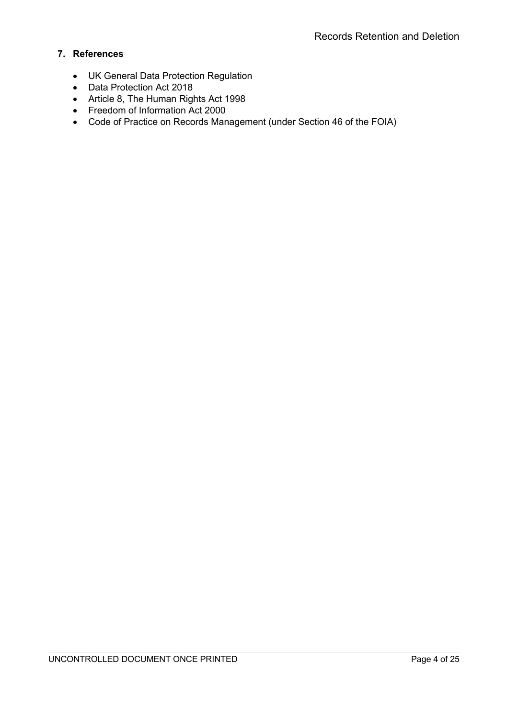# **7. References**

- UK General Data Protection Regulation
- Data Protection Act 2018
- Article 8, The Human Rights Act 1998
- Freedom of Information Act 2000
- Code of Practice on Records Management (under Section 46 of the FOIA)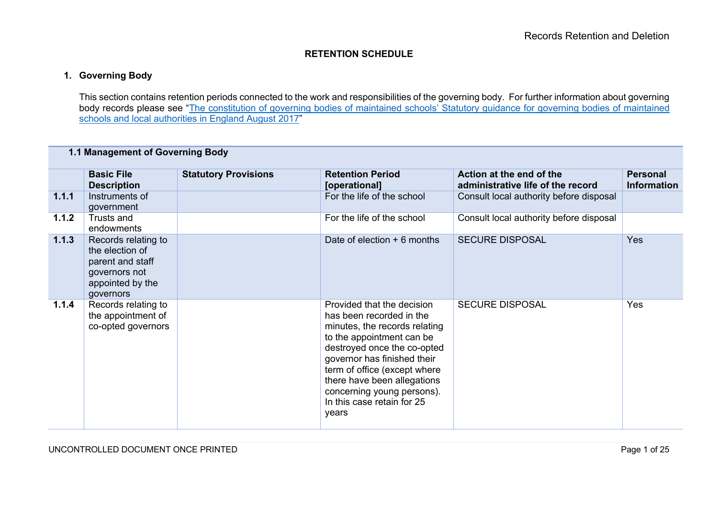## **RETENTION SCHEDULE**

# **1. Governing Body**

This section contains retention periods connected to the work and responsibilities of the governing body. For further information about governing body records please see "The constitution of governing bodies of maintained schools' Statutory guidance for governing bodies of maintained schools and local authorities in England August 2017"

## **1.1 Management of Governing Body**

|       | <b>Basic File</b><br><b>Description</b>                                                                      | <b>Statutory Provisions</b> | <b>Retention Period</b><br>[operational]                                                                                                                                                                                                                                                                               | Action at the end of the<br>administrative life of the record | <b>Personal</b><br><b>Information</b> |
|-------|--------------------------------------------------------------------------------------------------------------|-----------------------------|------------------------------------------------------------------------------------------------------------------------------------------------------------------------------------------------------------------------------------------------------------------------------------------------------------------------|---------------------------------------------------------------|---------------------------------------|
| 1.1.1 | Instruments of<br>government                                                                                 |                             | For the life of the school                                                                                                                                                                                                                                                                                             | Consult local authority before disposal                       |                                       |
| 1.1.2 | Trusts and<br>endowments                                                                                     |                             | For the life of the school                                                                                                                                                                                                                                                                                             | Consult local authority before disposal                       |                                       |
| 1.1.3 | Records relating to<br>the election of<br>parent and staff<br>governors not<br>appointed by the<br>governors |                             | Date of election $+6$ months                                                                                                                                                                                                                                                                                           | <b>SECURE DISPOSAL</b>                                        | <b>Yes</b>                            |
| 1.1.4 | Records relating to<br>the appointment of<br>co-opted governors                                              |                             | Provided that the decision<br>has been recorded in the<br>minutes, the records relating<br>to the appointment can be<br>destroyed once the co-opted<br>governor has finished their<br>term of office (except where<br>there have been allegations<br>concerning young persons).<br>In this case retain for 25<br>years | <b>SECURE DISPOSAL</b>                                        | Yes                                   |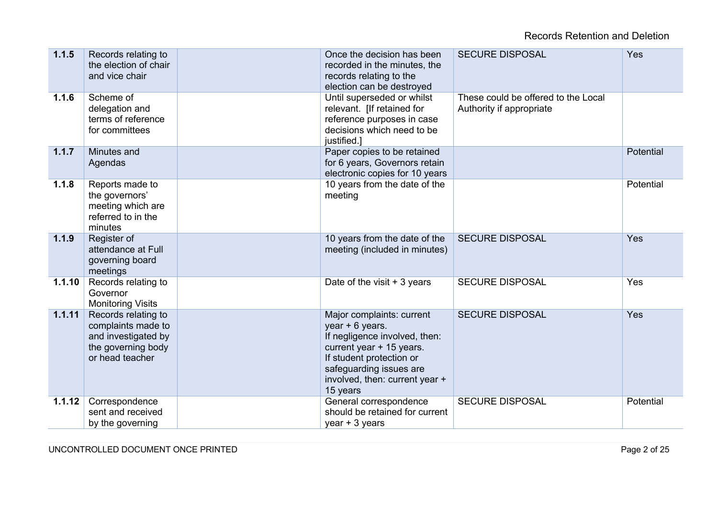| 1.1.5  | Records relating to<br>the election of chair<br>and vice chair                                            | Once the decision has been<br>recorded in the minutes, the<br>records relating to the<br>election can be destroyed                                                                                             | <b>SECURE DISPOSAL</b>                                          | Yes       |
|--------|-----------------------------------------------------------------------------------------------------------|----------------------------------------------------------------------------------------------------------------------------------------------------------------------------------------------------------------|-----------------------------------------------------------------|-----------|
| 1.1.6  | Scheme of<br>delegation and<br>terms of reference<br>for committees                                       | Until superseded or whilst<br>relevant. [If retained for<br>reference purposes in case<br>decisions which need to be<br>justified.]                                                                            | These could be offered to the Local<br>Authority if appropriate |           |
| 1.1.7  | Minutes and<br>Agendas                                                                                    | Paper copies to be retained<br>for 6 years, Governors retain<br>electronic copies for 10 years                                                                                                                 |                                                                 | Potential |
| 1.1.8  | Reports made to<br>the governors'<br>meeting which are<br>referred to in the<br>minutes                   | 10 years from the date of the<br>meeting                                                                                                                                                                       |                                                                 | Potential |
| 1.1.9  | Register of<br>attendance at Full<br>governing board<br>meetings                                          | 10 years from the date of the<br>meeting (included in minutes)                                                                                                                                                 | <b>SECURE DISPOSAL</b>                                          | Yes       |
| 1.1.10 | Records relating to<br>Governor<br><b>Monitoring Visits</b>                                               | Date of the visit $+3$ years                                                                                                                                                                                   | <b>SECURE DISPOSAL</b>                                          | Yes       |
| 1.1.11 | Records relating to<br>complaints made to<br>and investigated by<br>the governing body<br>or head teacher | Major complaints: current<br>year + 6 years.<br>If negligence involved, then:<br>current year + 15 years.<br>If student protection or<br>safeguarding issues are<br>involved, then: current year +<br>15 years | <b>SECURE DISPOSAL</b>                                          | Yes       |
| 1.1.12 | Correspondence<br>sent and received<br>by the governing                                                   | General correspondence<br>should be retained for current<br>year $+3$ years                                                                                                                                    | <b>SECURE DISPOSAL</b>                                          | Potential |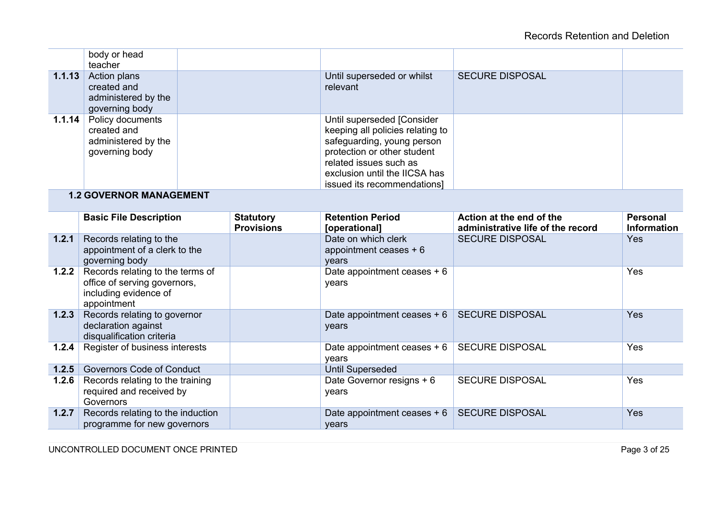|        | body or head<br>teacher                                                  |                                                                                                                                                                                                                       |                        |  |
|--------|--------------------------------------------------------------------------|-----------------------------------------------------------------------------------------------------------------------------------------------------------------------------------------------------------------------|------------------------|--|
| 1.1.13 | Action plans<br>created and<br>administered by the<br>governing body     | Until superseded or whilst<br>relevant                                                                                                                                                                                | <b>SECURE DISPOSAL</b> |  |
| 1.1.14 | Policy documents<br>created and<br>administered by the<br>governing body | Until superseded [Consider<br>keeping all policies relating to<br>safeguarding, young person<br>protection or other student<br>related issues such as<br>exclusion until the IICSA has<br>issued its recommendations] |                        |  |

# **1.2 GOVERNOR MANAGEMENT**

|       | <b>Basic File Description</b>                                                                            | <b>Statutory</b><br><b>Provisions</b> | <b>Retention Period</b><br>[operational]                | Action at the end of the<br>administrative life of the record | <b>Personal</b><br><b>Information</b> |
|-------|----------------------------------------------------------------------------------------------------------|---------------------------------------|---------------------------------------------------------|---------------------------------------------------------------|---------------------------------------|
| 1.2.1 | Records relating to the<br>appointment of a clerk to the<br>governing body                               |                                       | Date on which clerk<br>appointment ceases $+6$<br>years | <b>SECURE DISPOSAL</b>                                        | <b>Yes</b>                            |
| 1.2.2 | Records relating to the terms of<br>office of serving governors,<br>including evidence of<br>appointment |                                       | Date appointment ceases $+6$<br>years                   |                                                               | Yes                                   |
| 1.2.3 | Records relating to governor<br>declaration against<br>disqualification criteria                         |                                       | Date appointment ceases + 6   SECURE DISPOSAL<br>years  |                                                               | <b>Yes</b>                            |
| 1.2.4 | Register of business interests                                                                           |                                       | Date appointment ceases + 6<br>years                    | <b>SECURE DISPOSAL</b>                                        | Yes                                   |
| 1.2.5 | <b>Governors Code of Conduct</b>                                                                         |                                       | <b>Until Superseded</b>                                 |                                                               |                                       |
| 1.2.6 | Records relating to the training<br>required and received by<br>Governors                                |                                       | Date Governor resigns + 6<br>years                      | <b>SECURE DISPOSAL</b>                                        | Yes                                   |
| 1.2.7 | Records relating to the induction<br>programme for new governors                                         |                                       | Date appointment ceases $+ 6$<br>years                  | <b>SECURE DISPOSAL</b>                                        | Yes                                   |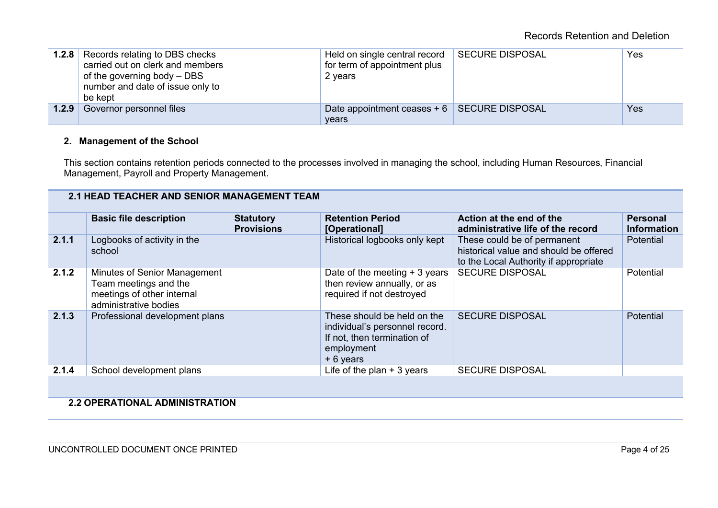|       | 1.2.8 Records relating to DBS checks<br>carried out on clerk and members<br>of the governing body – DBS<br>number and date of issue only to<br>be kept | Held on single central record<br>for term of appointment plus<br>2 years | SECURE DISPOSAL | Yes |
|-------|--------------------------------------------------------------------------------------------------------------------------------------------------------|--------------------------------------------------------------------------|-----------------|-----|
| 1.2.9 | Governor personnel files                                                                                                                               | Date appointment ceases $+ 6$ SECURE DISPOSAL<br>vears                   |                 | Yes |

## **2. Management of the School**

This section contains retention periods connected to the processes involved in managing the school, including Human Resources, Financial Management, Payroll and Property Management.

# **2.1 HEAD TEACHER AND SENIOR MANAGEMENT TEAM**

|       | <b>Basic file description</b>                                                                                | <b>Statutory</b><br><b>Provisions</b> | <b>Retention Period</b><br>[Operational]                                                                                | Action at the end of the<br>administrative life of the record                                                  | <b>Personal</b><br><b>Information</b> |
|-------|--------------------------------------------------------------------------------------------------------------|---------------------------------------|-------------------------------------------------------------------------------------------------------------------------|----------------------------------------------------------------------------------------------------------------|---------------------------------------|
| 2.1.1 | Logbooks of activity in the<br>school                                                                        |                                       | Historical logbooks only kept                                                                                           | These could be of permanent<br>historical value and should be offered<br>to the Local Authority if appropriate | Potential                             |
| 2.1.2 | Minutes of Senior Management<br>Team meetings and the<br>meetings of other internal<br>administrative bodies |                                       | Date of the meeting $+3$ years<br>then review annually, or as<br>required if not destroyed                              | <b>SECURE DISPOSAL</b>                                                                                         | Potential                             |
| 2.1.3 | Professional development plans                                                                               |                                       | These should be held on the<br>individual's personnel record.<br>If not, then termination of<br>employment<br>+ 6 years | <b>SECURE DISPOSAL</b>                                                                                         | Potential                             |
| 2.1.4 | School development plans                                                                                     |                                       | Life of the plan $+3$ years                                                                                             | <b>SECURE DISPOSAL</b>                                                                                         |                                       |

# **2.2 OPERATIONAL ADMINISTRATION**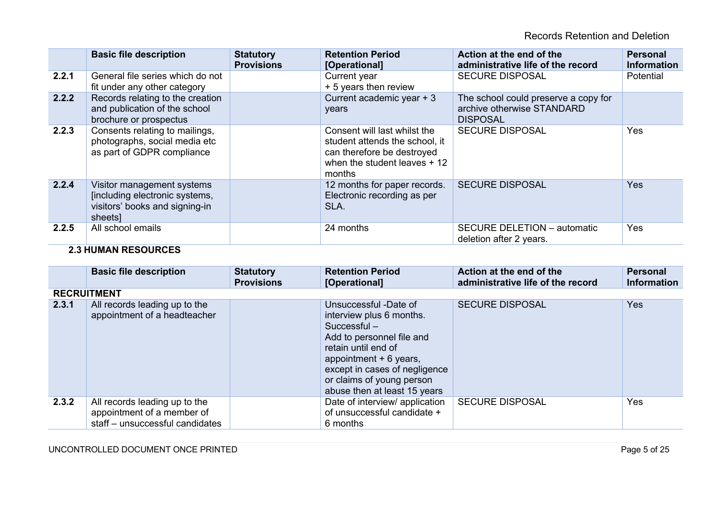Records Retention and Deletion

|       | <b>Basic file description</b>                                                                             | <b>Statutory</b><br><b>Provisions</b> | <b>Retention Period</b><br>[Operational]                                                                                                | Action at the end of the<br>administrative life of the record                         | <b>Personal</b><br><b>Information</b> |
|-------|-----------------------------------------------------------------------------------------------------------|---------------------------------------|-----------------------------------------------------------------------------------------------------------------------------------------|---------------------------------------------------------------------------------------|---------------------------------------|
| 2.2.1 | General file series which do not<br>fit under any other category                                          |                                       | Current year<br>+ 5 years then review                                                                                                   | <b>SECURE DISPOSAL</b>                                                                | Potential                             |
| 2.2.2 | Records relating to the creation<br>and publication of the school<br>brochure or prospectus               |                                       | Current academic year + 3<br>years                                                                                                      | The school could preserve a copy for<br>archive otherwise STANDARD<br><b>DISPOSAL</b> |                                       |
| 2.2.3 | Consents relating to mailings,<br>photographs, social media etc<br>as part of GDPR compliance             |                                       | Consent will last whilst the<br>student attends the school, it<br>can therefore be destroyed<br>when the student leaves $+12$<br>months | <b>SECURE DISPOSAL</b>                                                                | Yes                                   |
| 2.2.4 | Visitor management systems<br>[including electronic systems,<br>visitors' books and signing-in<br>sheets] |                                       | 12 months for paper records.<br>Electronic recording as per<br>SLA.                                                                     | <b>SECURE DISPOSAL</b>                                                                | <b>Yes</b>                            |
| 2.2.5 | All school emails                                                                                         |                                       | 24 months                                                                                                                               | SECURE DELETION - automatic<br>deletion after 2 years.                                | Yes                                   |

# **2.3 HUMAN RESOURCES**

|       | <b>Basic file description</b>                                                                  | <b>Statutory</b><br><b>Provisions</b> | <b>Retention Period</b><br>[Operational]                                                                                                                                                                                                       | Action at the end of the<br>administrative life of the record | <b>Personal</b><br><b>Information</b> |
|-------|------------------------------------------------------------------------------------------------|---------------------------------------|------------------------------------------------------------------------------------------------------------------------------------------------------------------------------------------------------------------------------------------------|---------------------------------------------------------------|---------------------------------------|
|       | <b>RECRUITMENT</b>                                                                             |                                       |                                                                                                                                                                                                                                                |                                                               |                                       |
| 2.3.1 | All records leading up to the<br>appointment of a headteacher                                  |                                       | Unsuccessful -Date of<br>interview plus 6 months.<br>$Succesful -$<br>Add to personnel file and<br>retain until end of<br>appointment + 6 years,<br>except in cases of negligence<br>or claims of young person<br>abuse then at least 15 years | <b>SECURE DISPOSAL</b>                                        | <b>Yes</b>                            |
| 2.3.2 | All records leading up to the<br>appointment of a member of<br>staff - unsuccessful candidates |                                       | Date of interview/ application<br>of unsuccessful candidate +<br>6 months                                                                                                                                                                      | <b>SECURE DISPOSAL</b>                                        | Yes                                   |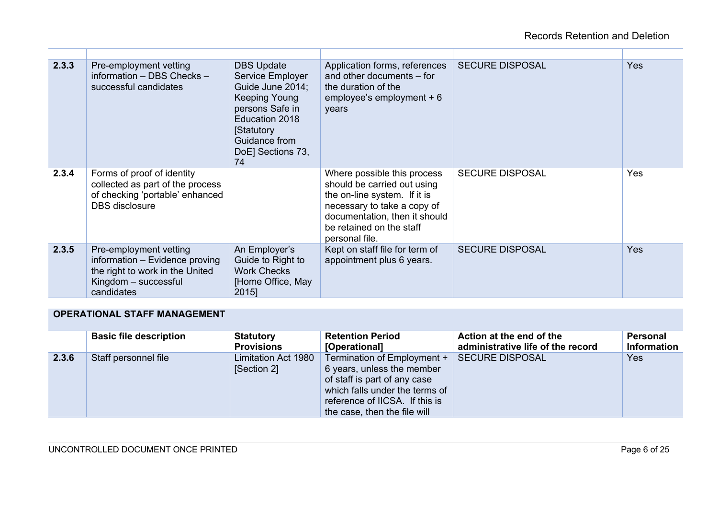| 2.3.3 | Pre-employment vetting<br>information - DBS Checks -<br>successful candidates                                                     | <b>DBS Update</b><br>Service Employer<br>Guide June 2014;<br>Keeping Young<br>persons Safe in<br>Education 2018<br><b>Statutory</b><br>Guidance from<br>DoE] Sections 73,<br>74 | Application forms, references<br>and other documents - for<br>the duration of the<br>employee's employment $+6$<br>years                                                                                 | <b>SECURE DISPOSAL</b> | Yes        |
|-------|-----------------------------------------------------------------------------------------------------------------------------------|---------------------------------------------------------------------------------------------------------------------------------------------------------------------------------|----------------------------------------------------------------------------------------------------------------------------------------------------------------------------------------------------------|------------------------|------------|
| 2.3.4 | Forms of proof of identity<br>collected as part of the process<br>of checking 'portable' enhanced<br><b>DBS</b> disclosure        |                                                                                                                                                                                 | Where possible this process<br>should be carried out using<br>the on-line system. If it is<br>necessary to take a copy of<br>documentation, then it should<br>be retained on the staff<br>personal file. | <b>SECURE DISPOSAL</b> | Yes        |
| 2.3.5 | Pre-employment vetting<br>information - Evidence proving<br>the right to work in the United<br>Kingdom - successful<br>candidates | An Employer's<br>Guide to Right to<br><b>Work Checks</b><br>[Home Office, May<br>2015]                                                                                          | Kept on staff file for term of<br>appointment plus 6 years.                                                                                                                                              | <b>SECURE DISPOSAL</b> | <b>Yes</b> |

# **OPERATIONAL STAFF MANAGEMENT**

|       | <b>Basic file description</b> | <b>Statutory</b><br><b>Provisions</b> | <b>Retention Period</b><br>[Operational]                                                                                                                                                      | Action at the end of the<br>administrative life of the record | <b>Personal</b><br><b>Information</b> |
|-------|-------------------------------|---------------------------------------|-----------------------------------------------------------------------------------------------------------------------------------------------------------------------------------------------|---------------------------------------------------------------|---------------------------------------|
| 2.3.6 | Staff personnel file          | Limitation Act 1980<br>[Section 2]    | Termination of Employment +<br>6 years, unless the member<br>of staff is part of any case<br>which falls under the terms of<br>reference of IICSA. If this is<br>the case, then the file will | <b>SECURE DISPOSAL</b>                                        | <b>Yes</b>                            |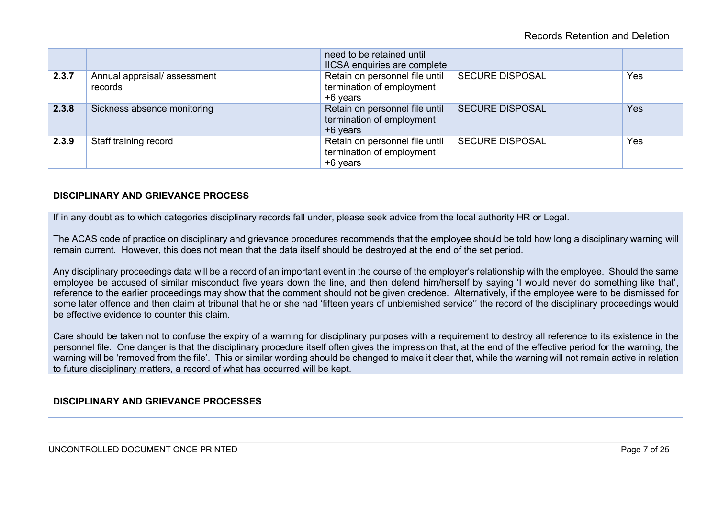|       |                                        | need to be retained until<br>IICSA enquiries are complete               |                        |     |
|-------|----------------------------------------|-------------------------------------------------------------------------|------------------------|-----|
| 2.3.7 | Annual appraisal/assessment<br>records | Retain on personnel file until<br>termination of employment<br>+6 years | <b>SECURE DISPOSAL</b> | Yes |
| 2.3.8 | Sickness absence monitoring            | Retain on personnel file until<br>termination of employment<br>+6 years | <b>SECURE DISPOSAL</b> | Yes |
| 2.3.9 | Staff training record                  | Retain on personnel file until<br>termination of employment<br>+6 years | <b>SECURE DISPOSAL</b> | Yes |

## **DISCIPLINARY AND GRIEVANCE PROCESS**

If in any doubt as to which categories disciplinary records fall under, please seek advice from the local authority HR or Legal.

The ACAS code of practice on disciplinary and grievance procedures recommends that the employee should be told how long a disciplinary warning will remain current. However, this does not mean that the data itself should be destroyed at the end of the set period.

Any disciplinary proceedings data will be a record of an important event in the course of the employer's relationship with the employee. Should the same employee be accused of similar misconduct five years down the line, and then defend him/herself by saying 'I would never do something like that', reference to the earlier proceedings may show that the comment should not be given credence. Alternatively, if the employee were to be dismissed for some later offence and then claim at tribunal that he or she had 'fifteen years of unblemished service'' the record of the disciplinary proceedings would be effective evidence to counter this claim.

Care should be taken not to confuse the expiry of a warning for disciplinary purposes with a requirement to destroy all reference to its existence in the personnel file. One danger is that the disciplinary procedure itself often gives the impression that, at the end of the effective period for the warning, the warning will be 'removed from the file'. This or similar wording should be changed to make it clear that, while the warning will not remain active in relation to future disciplinary matters, a record of what has occurred will be kept.

## **DISCIPLINARY AND GRIEVANCE PROCESSES**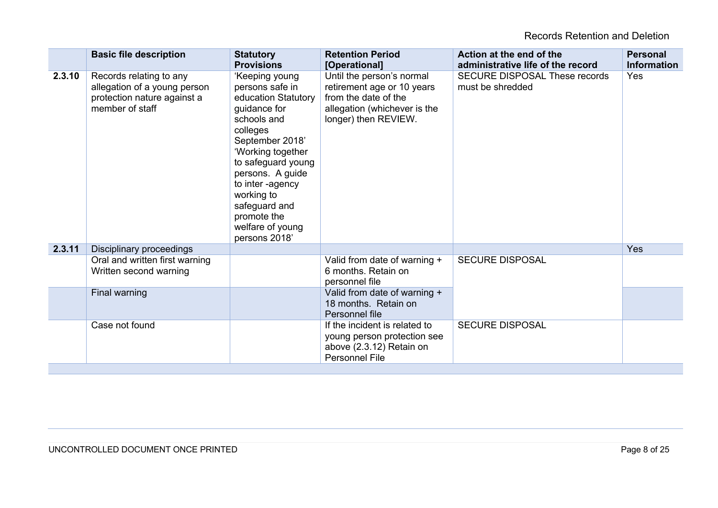|        | <b>Basic file description</b>                                                                             | <b>Statutory</b><br><b>Provisions</b>                                                                                                                                                                                                                                                        | <b>Retention Period</b><br>[Operational]                                                                                                | Action at the end of the<br>administrative life of the record | <b>Personal</b><br><b>Information</b> |
|--------|-----------------------------------------------------------------------------------------------------------|----------------------------------------------------------------------------------------------------------------------------------------------------------------------------------------------------------------------------------------------------------------------------------------------|-----------------------------------------------------------------------------------------------------------------------------------------|---------------------------------------------------------------|---------------------------------------|
| 2.3.10 | Records relating to any<br>allegation of a young person<br>protection nature against a<br>member of staff | 'Keeping young<br>persons safe in<br>education Statutory<br>guidance for<br>schools and<br>colleges<br>September 2018'<br>'Working together<br>to safeguard young<br>persons. A guide<br>to inter -agency<br>working to<br>safeguard and<br>promote the<br>welfare of young<br>persons 2018' | Until the person's normal<br>retirement age or 10 years<br>from the date of the<br>allegation (whichever is the<br>longer) then REVIEW. | <b>SECURE DISPOSAL These records</b><br>must be shredded      | Yes                                   |
| 2.3.11 | Disciplinary proceedings                                                                                  |                                                                                                                                                                                                                                                                                              |                                                                                                                                         |                                                               | Yes                                   |
|        | Oral and written first warning<br>Written second warning                                                  |                                                                                                                                                                                                                                                                                              | Valid from date of warning +<br>6 months. Retain on<br>personnel file                                                                   | <b>SECURE DISPOSAL</b>                                        |                                       |
|        | Final warning                                                                                             |                                                                                                                                                                                                                                                                                              | Valid from date of warning +<br>18 months. Retain on<br>Personnel file                                                                  |                                                               |                                       |
|        | Case not found                                                                                            |                                                                                                                                                                                                                                                                                              | If the incident is related to<br>young person protection see<br>above (2.3.12) Retain on<br><b>Personnel File</b>                       | <b>SECURE DISPOSAL</b>                                        |                                       |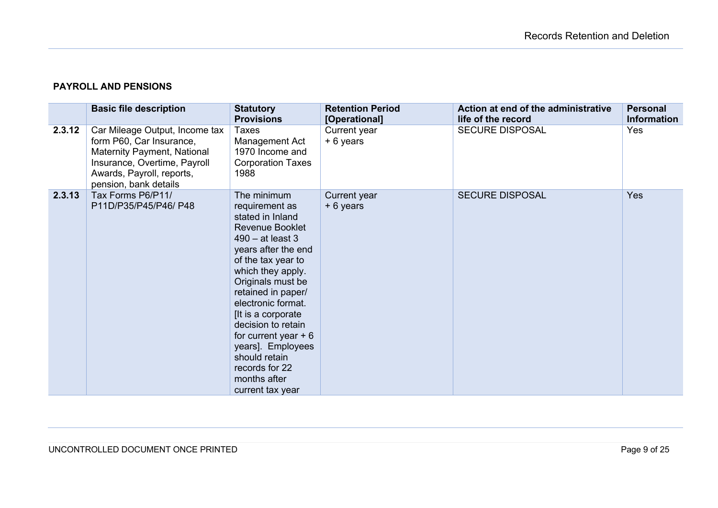# **PAYROLL AND PENSIONS**

|        | <b>Basic file description</b>                                                                                                                                                   | <b>Statutory</b><br><b>Provisions</b>                                                                                                                                                                                                                                                                                                                                                           | <b>Retention Period</b><br>[Operational] | Action at end of the administrative<br>life of the record | <b>Personal</b><br><b>Information</b> |
|--------|---------------------------------------------------------------------------------------------------------------------------------------------------------------------------------|-------------------------------------------------------------------------------------------------------------------------------------------------------------------------------------------------------------------------------------------------------------------------------------------------------------------------------------------------------------------------------------------------|------------------------------------------|-----------------------------------------------------------|---------------------------------------|
| 2.3.12 | Car Mileage Output, Income tax<br>form P60, Car Insurance,<br>Maternity Payment, National<br>Insurance, Overtime, Payroll<br>Awards, Payroll, reports,<br>pension, bank details | Taxes<br>Management Act<br>1970 Income and<br><b>Corporation Taxes</b><br>1988                                                                                                                                                                                                                                                                                                                  | Current year<br>+ 6 years                | <b>SECURE DISPOSAL</b>                                    | Yes                                   |
| 2.3.13 | Tax Forms P6/P11/<br>P11D/P35/P45/P46/ P48                                                                                                                                      | The minimum<br>requirement as<br>stated in Inland<br>Revenue Booklet<br>$490 - at least 3$<br>years after the end<br>of the tax year to<br>which they apply.<br>Originals must be<br>retained in paper/<br>electronic format.<br>[It is a corporate]<br>decision to retain<br>for current year $+6$<br>years]. Employees<br>should retain<br>records for 22<br>months after<br>current tax year | Current year<br>+ 6 years                | <b>SECURE DISPOSAL</b>                                    | Yes                                   |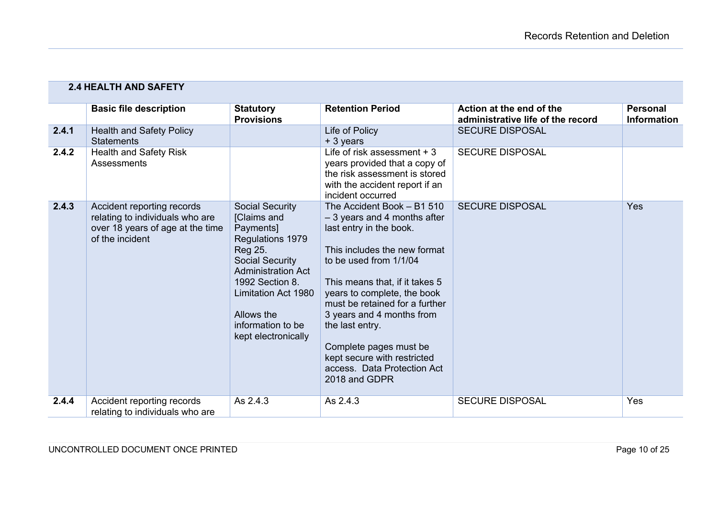|       | <b>2.4 HEALTH AND SAFETY</b>                                                                                         |                                                                                                                                                                                                                                              |                                                                                                                                                                                                                                                                                                                                                                                                              |                                                               |                                       |
|-------|----------------------------------------------------------------------------------------------------------------------|----------------------------------------------------------------------------------------------------------------------------------------------------------------------------------------------------------------------------------------------|--------------------------------------------------------------------------------------------------------------------------------------------------------------------------------------------------------------------------------------------------------------------------------------------------------------------------------------------------------------------------------------------------------------|---------------------------------------------------------------|---------------------------------------|
|       | <b>Basic file description</b>                                                                                        | <b>Statutory</b><br><b>Provisions</b>                                                                                                                                                                                                        | <b>Retention Period</b>                                                                                                                                                                                                                                                                                                                                                                                      | Action at the end of the<br>administrative life of the record | <b>Personal</b><br><b>Information</b> |
| 2.4.1 | <b>Health and Safety Policy</b><br><b>Statements</b>                                                                 |                                                                                                                                                                                                                                              | Life of Policy<br>+ 3 years                                                                                                                                                                                                                                                                                                                                                                                  | <b>SECURE DISPOSAL</b>                                        |                                       |
| 2.4.2 | <b>Health and Safety Risk</b><br><b>Assessments</b>                                                                  |                                                                                                                                                                                                                                              | Life of risk assessment $+3$<br>years provided that a copy of<br>the risk assessment is stored<br>with the accident report if an<br>incident occurred                                                                                                                                                                                                                                                        | <b>SECURE DISPOSAL</b>                                        |                                       |
| 2.4.3 | Accident reporting records<br>relating to individuals who are<br>over 18 years of age at the time<br>of the incident | <b>Social Security</b><br>[Claims and<br>Payments]<br>Regulations 1979<br>Reg 25.<br><b>Social Security</b><br><b>Administration Act</b><br>1992 Section 8.<br>Limitation Act 1980<br>Allows the<br>information to be<br>kept electronically | The Accident Book - B1 510<br>$-3$ years and 4 months after<br>last entry in the book.<br>This includes the new format<br>to be used from 1/1/04<br>This means that, if it takes 5<br>years to complete, the book<br>must be retained for a further<br>3 years and 4 months from<br>the last entry.<br>Complete pages must be<br>kept secure with restricted<br>access. Data Protection Act<br>2018 and GDPR | <b>SECURE DISPOSAL</b>                                        | Yes                                   |
| 2.4.4 | Accident reporting records<br>relating to individuals who are                                                        | As 2.4.3                                                                                                                                                                                                                                     | As 2.4.3                                                                                                                                                                                                                                                                                                                                                                                                     | <b>SECURE DISPOSAL</b>                                        | Yes                                   |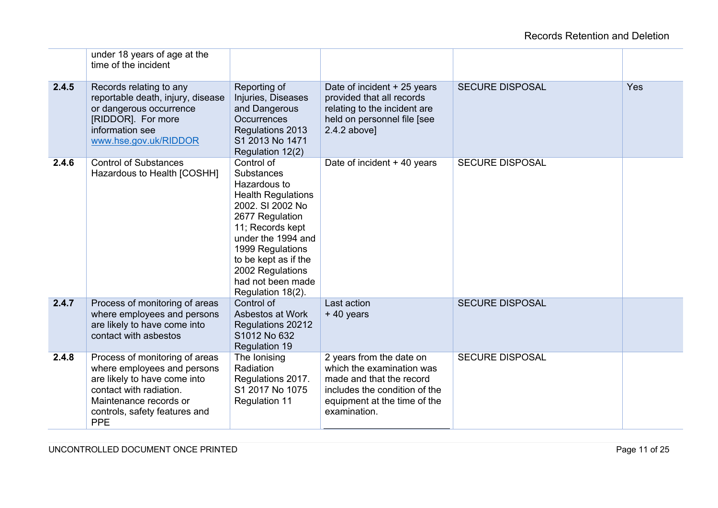|       | under 18 years of age at the<br>time of the incident                                                                                                                                              |                                                                                                                                                                                                                                                                  |                                                                                                                                                                    |                        |            |
|-------|---------------------------------------------------------------------------------------------------------------------------------------------------------------------------------------------------|------------------------------------------------------------------------------------------------------------------------------------------------------------------------------------------------------------------------------------------------------------------|--------------------------------------------------------------------------------------------------------------------------------------------------------------------|------------------------|------------|
| 2.4.5 | Records relating to any<br>reportable death, injury, disease<br>or dangerous occurrence<br>[RIDDOR]. For more<br>information see<br>www.hse.gov.uk/RIDDOR                                         | Reporting of<br>Injuries, Diseases<br>and Dangerous<br><b>Occurrences</b><br>Regulations 2013<br>S1 2013 No 1471<br>Regulation 12(2)                                                                                                                             | Date of incident + 25 years<br>provided that all records<br>relating to the incident are<br>held on personnel file [see<br>$2.4.2$ above]                          | <b>SECURE DISPOSAL</b> | <b>Yes</b> |
| 2.4.6 | <b>Control of Substances</b><br>Hazardous to Health [COSHH]                                                                                                                                       | Control of<br>Substances<br>Hazardous to<br><b>Health Regulations</b><br>2002. SI 2002 No<br>2677 Regulation<br>11; Records kept<br>under the 1994 and<br>1999 Regulations<br>to be kept as if the<br>2002 Regulations<br>had not been made<br>Regulation 18(2). | Date of incident + 40 years                                                                                                                                        | <b>SECURE DISPOSAL</b> |            |
| 2.4.7 | Process of monitoring of areas<br>where employees and persons<br>are likely to have come into<br>contact with asbestos                                                                            | Control of<br>Asbestos at Work<br>Regulations 20212<br>S1012 No 632<br><b>Regulation 19</b>                                                                                                                                                                      | Last action<br>+40 years                                                                                                                                           | <b>SECURE DISPOSAL</b> |            |
| 2.4.8 | Process of monitoring of areas<br>where employees and persons<br>are likely to have come into<br>contact with radiation.<br>Maintenance records or<br>controls, safety features and<br><b>PPE</b> | The Ionising<br>Radiation<br>Regulations 2017.<br>S1 2017 No 1075<br><b>Regulation 11</b>                                                                                                                                                                        | 2 years from the date on<br>which the examination was<br>made and that the record<br>includes the condition of the<br>equipment at the time of the<br>examination. | <b>SECURE DISPOSAL</b> |            |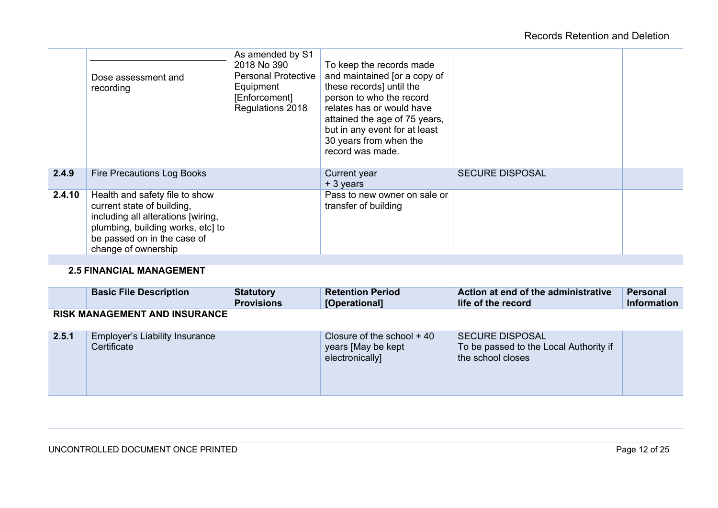|        | Dose assessment and<br>recording                                                                                                                                                              | As amended by S1<br>2018 No 390<br><b>Personal Protective</b><br>Equipment<br>[Enforcement]<br>Regulations 2018 | To keep the records made<br>and maintained [or a copy of<br>these records] until the<br>person to who the record<br>relates has or would have<br>attained the age of 75 years,<br>but in any event for at least<br>30 years from when the<br>record was made. |                        |  |
|--------|-----------------------------------------------------------------------------------------------------------------------------------------------------------------------------------------------|-----------------------------------------------------------------------------------------------------------------|---------------------------------------------------------------------------------------------------------------------------------------------------------------------------------------------------------------------------------------------------------------|------------------------|--|
| 2.4.9  | Fire Precautions Log Books                                                                                                                                                                    |                                                                                                                 | Current year<br>+ 3 years                                                                                                                                                                                                                                     | <b>SECURE DISPOSAL</b> |  |
| 2.4.10 | Health and safety file to show<br>current state of building,<br>including all alterations [wiring,<br>plumbing, building works, etc] to<br>be passed on in the case of<br>change of ownership |                                                                                                                 | Pass to new owner on sale or<br>transfer of building                                                                                                                                                                                                          |                        |  |
|        |                                                                                                                                                                                               |                                                                                                                 |                                                                                                                                                                                                                                                               |                        |  |

# **2.5 FINANCIAL MANAGEMENT**

|                                      | <b>Basic File Description</b> | <b>Statutory</b><br><b>Provisions</b> | <b>Retention Period</b><br>[Operational] | Action at end of the administrative<br>life of the record | Personal<br><b>Information</b> |  |
|--------------------------------------|-------------------------------|---------------------------------------|------------------------------------------|-----------------------------------------------------------|--------------------------------|--|
| <b>RISK MANAGEMENT AND INSURANCE</b> |                               |                                       |                                          |                                                           |                                |  |

| 2.5.1 | <b>Employer's Liability Insurance</b><br>Certificate |  | Closure of the school $+40$<br>years [May be kept]<br>electronically] | SECURE DISPOSAL<br>To be passed to the Local Authority if<br>the school closes |  |
|-------|------------------------------------------------------|--|-----------------------------------------------------------------------|--------------------------------------------------------------------------------|--|
|-------|------------------------------------------------------|--|-----------------------------------------------------------------------|--------------------------------------------------------------------------------|--|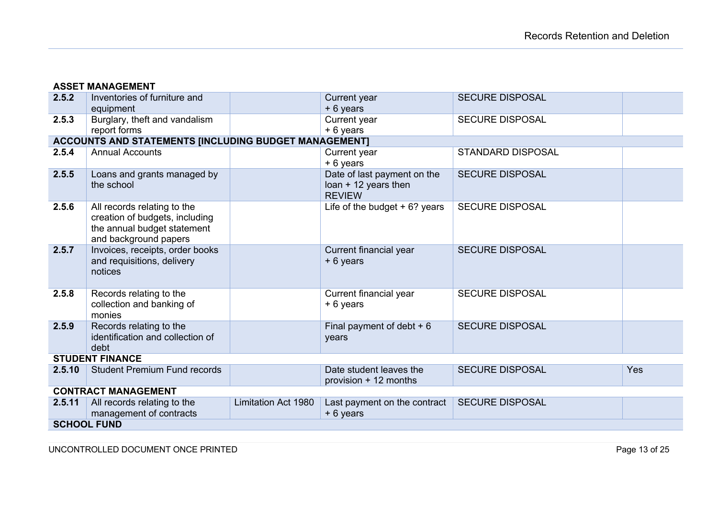| <b>ASSET MANAGEMENT</b>                                                                                                |            |
|------------------------------------------------------------------------------------------------------------------------|------------|
| 2.5.2<br>Inventories of furniture and<br><b>SECURE DISPOSAL</b><br>Current year                                        |            |
| + 6 years<br>equipment                                                                                                 |            |
| 2.5.3<br>Burglary, theft and vandalism<br>Current year<br><b>SECURE DISPOSAL</b>                                       |            |
| + 6 years<br>report forms                                                                                              |            |
| ACCOUNTS AND STATEMENTS [INCLUDING BUDGET MANAGEMENT]                                                                  |            |
| 2.5.4<br><b>Annual Accounts</b><br><b>STANDARD DISPOSAL</b><br>Current year                                            |            |
| + 6 years                                                                                                              |            |
| Date of last payment on the<br>2.5.5<br>Loans and grants managed by<br><b>SECURE DISPOSAL</b>                          |            |
| the school<br>$loan + 12$ years then                                                                                   |            |
| <b>REVIEW</b>                                                                                                          |            |
| 2.5.6<br>Life of the budget $+6$ ? years<br><b>SECURE DISPOSAL</b><br>All records relating to the                      |            |
| creation of budgets, including                                                                                         |            |
| the annual budget statement                                                                                            |            |
| and background papers                                                                                                  |            |
| Invoices, receipts, order books<br>2.5.7<br>Current financial year<br><b>SECURE DISPOSAL</b>                           |            |
| and requisitions, delivery<br>+ 6 years<br>notices                                                                     |            |
|                                                                                                                        |            |
| <b>SECURE DISPOSAL</b>                                                                                                 |            |
| Records relating to the<br>Current financial year<br>2.5.8<br>+ 6 years                                                |            |
| collection and banking of<br>monies                                                                                    |            |
| Records relating to the<br><b>SECURE DISPOSAL</b><br>2.5.9<br>Final payment of debt $+6$                               |            |
| identification and collection of<br>years                                                                              |            |
| debt                                                                                                                   |            |
| <b>STUDENT FINANCE</b>                                                                                                 |            |
| Date student leaves the<br><b>Student Premium Fund records</b><br><b>SECURE DISPOSAL</b><br>2.5.10                     | <b>Yes</b> |
| provision + 12 months                                                                                                  |            |
| <b>CONTRACT MANAGEMENT</b>                                                                                             |            |
| <b>SECURE DISPOSAL</b><br>2.5.11<br>All records relating to the<br>Last payment on the contract<br>Limitation Act 1980 |            |
| management of contracts<br>+ 6 years                                                                                   |            |
|                                                                                                                        |            |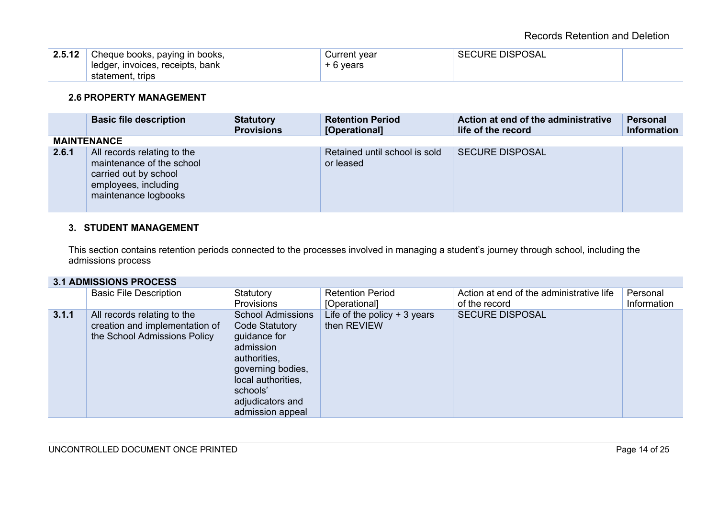| 2.5.12 | Cheque books, paying in books,   | Current vear | <b>SECURE DISPOSAL</b> |  |
|--------|----------------------------------|--------------|------------------------|--|
|        | ledger, invoices, receipts, bank | + 6 years    |                        |  |
|        | statement, trips                 |              |                        |  |

## **2.6 PROPERTY MANAGEMENT**

|       | <b>Basic file description</b>                                                                                                     | <b>Statutory</b><br><b>Provisions</b> | <b>Retention Period</b><br>[Operational]   | Action at end of the administrative<br>life of the record | <b>Personal</b><br><b>Information</b> |
|-------|-----------------------------------------------------------------------------------------------------------------------------------|---------------------------------------|--------------------------------------------|-----------------------------------------------------------|---------------------------------------|
|       | <b>MAINTENANCE</b>                                                                                                                |                                       |                                            |                                                           |                                       |
| 2.6.1 | All records relating to the<br>maintenance of the school<br>carried out by school<br>employees, including<br>maintenance logbooks |                                       | Retained until school is sold<br>or leased | <b>SECURE DISPOSAL</b>                                    |                                       |

# **3. STUDENT MANAGEMENT**

This section contains retention periods connected to the processes involved in managing a student's journey through school, including the admissions process

## **3.1 ADMISSIONS PROCESS**

|       | <b>Basic File Description</b>                                                                 | Statutory<br>Provisions                                                                                                                                                                       | <b>Retention Period</b><br>[Operational]     | Action at end of the administrative life<br>of the record | Personal<br>Information |
|-------|-----------------------------------------------------------------------------------------------|-----------------------------------------------------------------------------------------------------------------------------------------------------------------------------------------------|----------------------------------------------|-----------------------------------------------------------|-------------------------|
| 3.1.1 | All records relating to the<br>creation and implementation of<br>the School Admissions Policy | <b>School Admissions</b><br><b>Code Statutory</b><br>guidance for<br>admission<br>authorities,<br>governing bodies,<br>local authorities,<br>schools'<br>adjudicators and<br>admission appeal | Life of the policy $+3$ years<br>then REVIEW | <b>SECURE DISPOSAL</b>                                    |                         |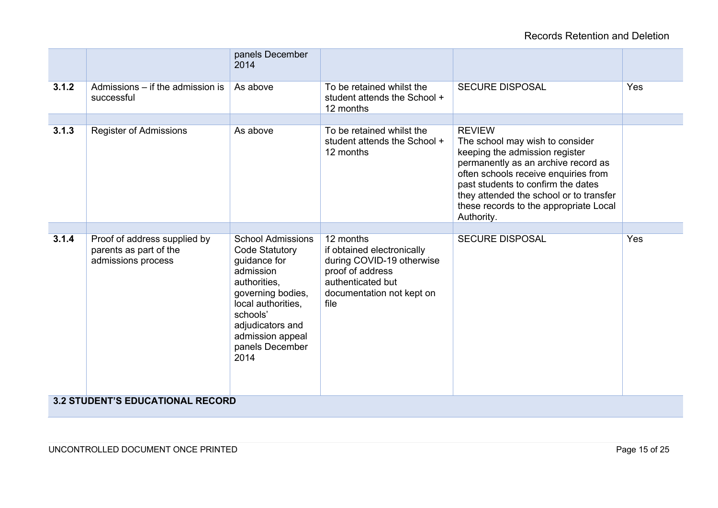# Records Retention and Deletion

|       |                                                                              | panels December<br>2014                                                                                                                                                                                                  |                                                                                                                                                    |                                                                                                                                                                                                                                                                                                            |     |
|-------|------------------------------------------------------------------------------|--------------------------------------------------------------------------------------------------------------------------------------------------------------------------------------------------------------------------|----------------------------------------------------------------------------------------------------------------------------------------------------|------------------------------------------------------------------------------------------------------------------------------------------------------------------------------------------------------------------------------------------------------------------------------------------------------------|-----|
| 3.1.2 | Admissions – if the admission is<br>successful                               | As above                                                                                                                                                                                                                 | To be retained whilst the<br>student attends the School +<br>12 months                                                                             | <b>SECURE DISPOSAL</b>                                                                                                                                                                                                                                                                                     | Yes |
|       |                                                                              |                                                                                                                                                                                                                          |                                                                                                                                                    |                                                                                                                                                                                                                                                                                                            |     |
| 3.1.3 | <b>Register of Admissions</b>                                                | As above                                                                                                                                                                                                                 | To be retained whilst the<br>student attends the School +<br>12 months                                                                             | <b>REVIEW</b><br>The school may wish to consider<br>keeping the admission register<br>permanently as an archive record as<br>often schools receive enquiries from<br>past students to confirm the dates<br>they attended the school or to transfer<br>these records to the appropriate Local<br>Authority. |     |
|       |                                                                              |                                                                                                                                                                                                                          |                                                                                                                                                    |                                                                                                                                                                                                                                                                                                            |     |
| 3.1.4 | Proof of address supplied by<br>parents as part of the<br>admissions process | <b>School Admissions</b><br><b>Code Statutory</b><br>guidance for<br>admission<br>authorities,<br>governing bodies,<br>local authorities,<br>schools'<br>adjudicators and<br>admission appeal<br>panels December<br>2014 | 12 months<br>if obtained electronically<br>during COVID-19 otherwise<br>proof of address<br>authenticated but<br>documentation not kept on<br>file | <b>SECURE DISPOSAL</b>                                                                                                                                                                                                                                                                                     | Yes |
|       | <b>3.2 STUDENT'S EDUCATIONAL RECORD</b>                                      |                                                                                                                                                                                                                          |                                                                                                                                                    |                                                                                                                                                                                                                                                                                                            |     |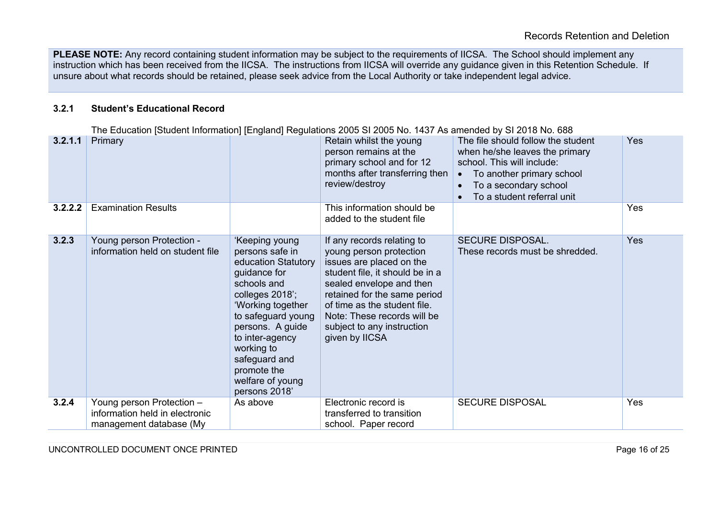**PLEASE NOTE:** Any record containing student information may be subject to the requirements of IICSA. The School should implement any instruction which has been received from the IICSA. The instructions from IICSA will override any guidance given in this Retention Schedule. If unsure about what records should be retained, please seek advice from the Local Authority or take independent legal advice.

#### **3.2.1 Student's Educational Record**

The Education [Student Information] [England] Regulations 2005 SI 2005 No. 1437 As amended by SI 2018 No. 688<br>Retain whilst the vound The file should follow the stu **3.2.1.1** Primary **Retain whilst the young** person remains at the primary school and for 12 months after transferring then review/destroy The file should follow the student when he/she leaves the primary school. This will include: • To another primary school • To a secondary school • To a student referral unit Yes **3.2.2.2** Examination Results **This information should be** added to the student file Yes **3.2.3** Young person Protection information held on student file 'Keeping young persons safe in education Statutory guidance for schools and colleges 2018'; 'Working together to safeguard young persons. A guide to inter-agency working to safeguard and promote the welfare of young persons 2018' If any records relating to young person protection issues are placed on the student file, it should be in a sealed envelope and then retained for the same period of time as the student file. Note: These records will be subject to any instruction given by IICSA SECURE DISPOSAL. These records must be shredded. Yes **3.2.4** Young person Protection – information held in electronic management database (My As above Electronic record is transferred to transition school. Paper record SECURE DISPOSAL Yes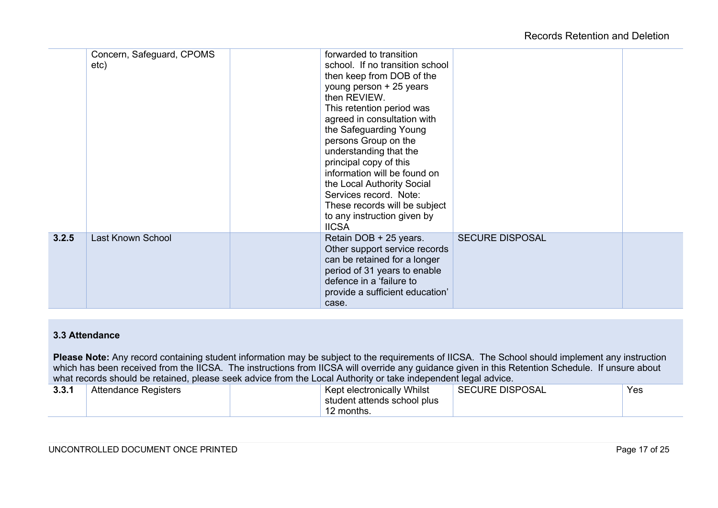|       | Concern, Safeguard, CPOMS<br>etc) | forwarded to transition<br>school. If no transition school<br>then keep from DOB of the<br>young person + 25 years<br>then REVIEW.<br>This retention period was<br>agreed in consultation with<br>the Safeguarding Young<br>persons Group on the<br>understanding that the<br>principal copy of this<br>information will be found on<br>the Local Authority Social<br>Services record. Note:<br>These records will be subject<br>to any instruction given by<br><b>IICSA</b> |  |
|-------|-----------------------------------|------------------------------------------------------------------------------------------------------------------------------------------------------------------------------------------------------------------------------------------------------------------------------------------------------------------------------------------------------------------------------------------------------------------------------------------------------------------------------|--|
| 3.2.5 | Last Known School                 | <b>SECURE DISPOSAL</b><br>Retain DOB + 25 years.<br>Other support service records<br>can be retained for a longer<br>period of 31 years to enable<br>defence in a 'failure to<br>provide a sufficient education'<br>case.                                                                                                                                                                                                                                                    |  |

## **3.3 Attendance**

Please Note: Any record containing student information may be subject to the requirements of IICSA. The School should implement any instruction which has been received from the IICSA. The instructions from IICSA will override any guidance given in this Retention Schedule. If unsure about what records should be retained, please seek advice from the Local Authority or take independent legal advice.

| 221<br>J.J. I | <b>Attendance Registers</b> | Kept electronically Whilst  | SECURE DISPOSAL | Yes |
|---------------|-----------------------------|-----------------------------|-----------------|-----|
|               |                             | student attends school plus |                 |     |
|               |                             | I2 months.                  |                 |     |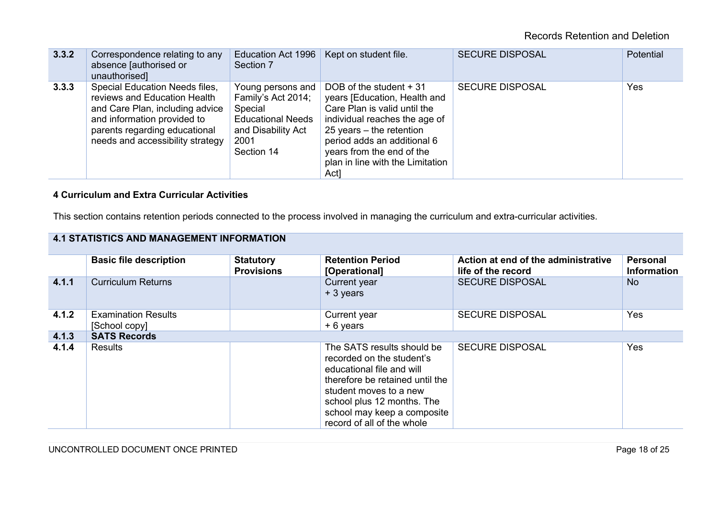| 3.3.2 | Correspondence relating to any<br>absence [authorised or<br>unauthorised]                                                                                                                                    | Education Act 1996<br>Section 7                                                                                            | Kept on student file.                                                                                                                                                                                                                                          | <b>SECURE DISPOSAL</b> | <b>Potential</b> |
|-------|--------------------------------------------------------------------------------------------------------------------------------------------------------------------------------------------------------------|----------------------------------------------------------------------------------------------------------------------------|----------------------------------------------------------------------------------------------------------------------------------------------------------------------------------------------------------------------------------------------------------------|------------------------|------------------|
| 3.3.3 | <b>Special Education Needs files,</b><br>reviews and Education Health<br>and Care Plan, including advice<br>and information provided to<br>parents regarding educational<br>needs and accessibility strategy | Young persons and<br>Family's Act 2014;<br>Special<br><b>Educational Needs</b><br>and Disability Act<br>2001<br>Section 14 | DOB of the student + 31<br>years [Education, Health and<br>Care Plan is valid until the<br>individual reaches the age of<br>25 years $-$ the retention<br>period adds an additional 6<br>years from the end of the<br>plan in line with the Limitation<br>Act] | <b>SECURE DISPOSAL</b> | Yes              |

# **4 Curriculum and Extra Curricular Activities**

This section contains retention periods connected to the process involved in managing the curriculum and extra-curricular activities.

| <b>4.1 STATISTICS AND MANAGEMENT INFORMATION</b> |                                             |                                       |                                                                                                                                                                                                                                              |                                                           |                                |  |
|--------------------------------------------------|---------------------------------------------|---------------------------------------|----------------------------------------------------------------------------------------------------------------------------------------------------------------------------------------------------------------------------------------------|-----------------------------------------------------------|--------------------------------|--|
|                                                  | <b>Basic file description</b>               | <b>Statutory</b><br><b>Provisions</b> | <b>Retention Period</b><br>[Operational]                                                                                                                                                                                                     | Action at end of the administrative<br>life of the record | Personal<br><b>Information</b> |  |
| 4.1.1                                            | <b>Curriculum Returns</b>                   |                                       | Current year<br>+ 3 years                                                                                                                                                                                                                    | <b>SECURE DISPOSAL</b>                                    | <b>No</b>                      |  |
| 4.1.2                                            | <b>Examination Results</b><br>[School copy] |                                       | Current year<br>$+6$ years                                                                                                                                                                                                                   | <b>SECURE DISPOSAL</b>                                    | Yes                            |  |
| 4.1.3                                            | <b>SATS Records</b>                         |                                       |                                                                                                                                                                                                                                              |                                                           |                                |  |
| 4.1.4                                            | Results                                     |                                       | The SATS results should be<br>recorded on the student's<br>educational file and will<br>therefore be retained until the<br>student moves to a new<br>school plus 12 months. The<br>school may keep a composite<br>record of all of the whole | <b>SECURE DISPOSAL</b>                                    | Yes                            |  |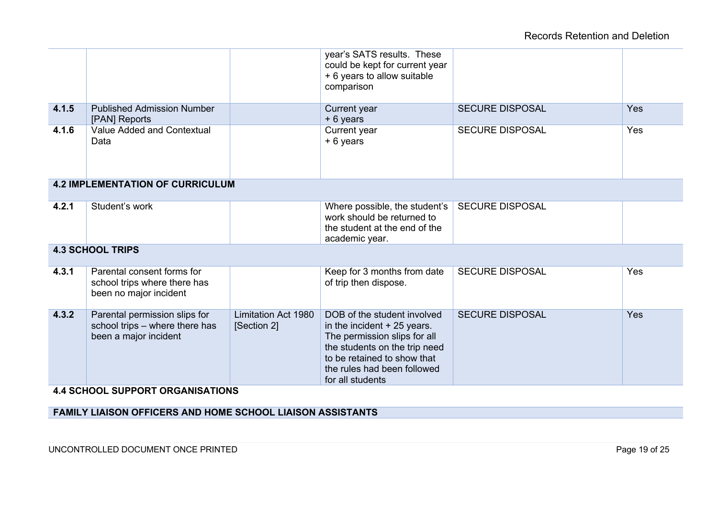|       |                                                                                          |                                           | year's SATS results. These<br>could be kept for current year<br>+ 6 years to allow suitable<br>comparison                                                                                                     |                        |            |
|-------|------------------------------------------------------------------------------------------|-------------------------------------------|---------------------------------------------------------------------------------------------------------------------------------------------------------------------------------------------------------------|------------------------|------------|
| 4.1.5 | <b>Published Admission Number</b><br>[PAN] Reports                                       |                                           | Current year<br>+ 6 years                                                                                                                                                                                     | <b>SECURE DISPOSAL</b> | Yes        |
| 4.1.6 | Value Added and Contextual<br>Data                                                       |                                           | Current year<br>+ 6 years                                                                                                                                                                                     | <b>SECURE DISPOSAL</b> | Yes        |
|       | <b>4.2 IMPLEMENTATION OF CURRICULUM</b>                                                  |                                           |                                                                                                                                                                                                               |                        |            |
| 4.2.1 | Student's work                                                                           |                                           | Where possible, the student's<br>work should be returned to<br>the student at the end of the<br>academic year.                                                                                                | <b>SECURE DISPOSAL</b> |            |
|       | <b>4.3 SCHOOL TRIPS</b>                                                                  |                                           |                                                                                                                                                                                                               |                        |            |
| 4.3.1 | Parental consent forms for<br>school trips where there has<br>been no major incident     |                                           | Keep for 3 months from date<br>of trip then dispose.                                                                                                                                                          | <b>SECURE DISPOSAL</b> | Yes        |
| 4.3.2 | Parental permission slips for<br>school trips - where there has<br>been a major incident | <b>Limitation Act 1980</b><br>[Section 2] | DOB of the student involved<br>in the incident + 25 years.<br>The permission slips for all<br>the students on the trip need<br>to be retained to show that<br>the rules had been followed<br>for all students | <b>SECURE DISPOSAL</b> | <b>Yes</b> |

**4.4 SCHOOL SUPPORT ORGANISATIONS**

**FAMILY LIAISON OFFICERS AND HOME SCHOOL LIAISON ASSISTANTS**